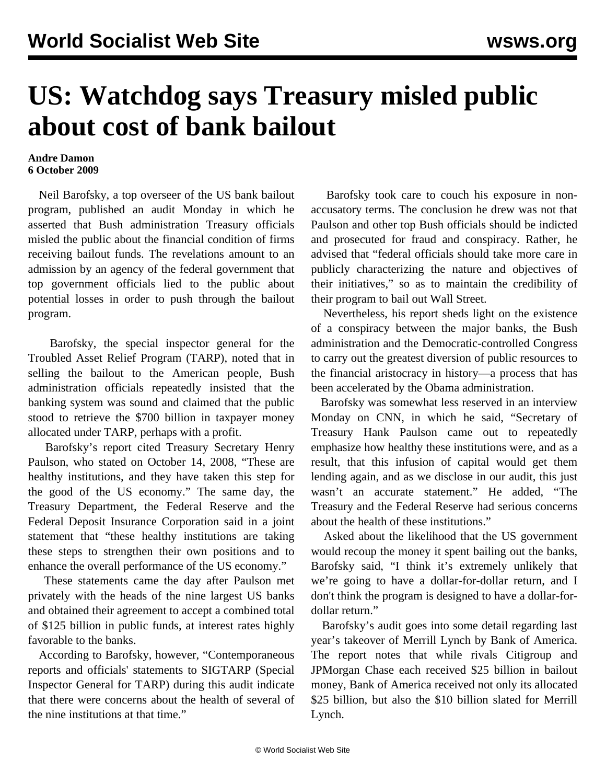## **US: Watchdog says Treasury misled public about cost of bank bailout**

## **Andre Damon 6 October 2009**

 Neil Barofsky, a top overseer of the US bank bailout program, published an audit Monday in which he asserted that Bush administration Treasury officials misled the public about the financial condition of firms receiving bailout funds. The revelations amount to an admission by an agency of the federal government that top government officials lied to the public about potential losses in order to push through the bailout program.

 Barofsky, the special inspector general for the Troubled Asset Relief Program (TARP), noted that in selling the bailout to the American people, Bush administration officials repeatedly insisted that the banking system was sound and claimed that the public stood to retrieve the \$700 billion in taxpayer money allocated under TARP, perhaps with a profit.

 Barofsky's report cited Treasury Secretary Henry Paulson, who stated on October 14, 2008, "These are healthy institutions, and they have taken this step for the good of the US economy." The same day, the Treasury Department, the Federal Reserve and the Federal Deposit Insurance Corporation said in a joint statement that "these healthy institutions are taking these steps to strengthen their own positions and to enhance the overall performance of the US economy."

 These statements came the day after Paulson met privately with the heads of the nine largest US banks and obtained their agreement to accept a combined total of \$125 billion in public funds, at interest rates highly favorable to the banks.

 According to Barofsky, however, "Contemporaneous reports and officials' statements to SIGTARP (Special Inspector General for TARP) during this audit indicate that there were concerns about the health of several of the nine institutions at that time."

 Barofsky took care to couch his exposure in nonaccusatory terms. The conclusion he drew was not that Paulson and other top Bush officials should be indicted and prosecuted for fraud and conspiracy. Rather, he advised that "federal officials should take more care in publicly characterizing the nature and objectives of their initiatives," so as to maintain the credibility of their program to bail out Wall Street.

 Nevertheless, his report sheds light on the existence of a conspiracy between the major banks, the Bush administration and the Democratic-controlled Congress to carry out the greatest diversion of public resources to the financial aristocracy in history—a process that has been accelerated by the Obama administration.

 Barofsky was somewhat less reserved in an interview Monday on CNN, in which he said, "Secretary of Treasury Hank Paulson came out to repeatedly emphasize how healthy these institutions were, and as a result, that this infusion of capital would get them lending again, and as we disclose in our audit, this just wasn't an accurate statement." He added, "The Treasury and the Federal Reserve had serious concerns about the health of these institutions."

 Asked about the likelihood that the US government would recoup the money it spent bailing out the banks, Barofsky said, "I think it's extremely unlikely that we're going to have a dollar-for-dollar return, and I don't think the program is designed to have a dollar-fordollar return."

 Barofsky's audit goes into some detail regarding last year's takeover of Merrill Lynch by Bank of America. The report notes that while rivals Citigroup and JPMorgan Chase each received \$25 billion in bailout money, Bank of America received not only its allocated \$25 billion, but also the \$10 billion slated for Merrill Lynch.